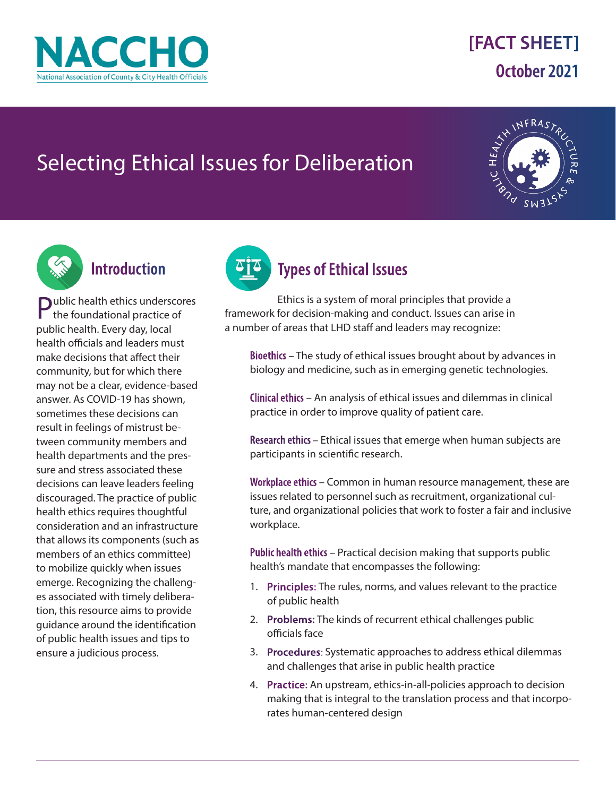

## **[FACT SHEET] October 2021**

# Selecting Ethical Issues for Deliberation





## **Introduction**

Public health ethics underscores the foundational practice of public health. Every day, local health officials and leaders must make decisions that affect their community, but for which there may not be a clear, evidence-based answer. As COVID-19 has shown, sometimes these decisions can result in feelings of mistrust between community members and health departments and the pressure and stress associated these decisions can leave leaders feeling discouraged. The practice of public health ethics requires thoughtful consideration and an infrastructure that allows its components (such as members of an ethics committee) to mobilize quickly when issues emerge. Recognizing the challenges associated with timely deliberation, this resource aims to provide guidance around the identification of public health issues and tips to ensure a judicious process.



Ethics is a system of moral principles that provide a framework for decision-making and conduct. Issues can arise in a number of areas that LHD staff and leaders may recognize:

**Bioethics** – The study of ethical issues brought about by advances in biology and medicine, such as in emerging genetic technologies.

**Clinical ethics** – An analysis of ethical issues and dilemmas in clinical practice in order to improve quality of patient care.

**Research ethics** – Ethical issues that emerge when human subjects are participants in scientific research.

**Workplace ethics** – Common in human resource management, these are issues related to personnel such as recruitment, organizational culture, and organizational policies that work to foster a fair and inclusive workplace.

**Public health ethics** – Practical decision making that supports public health's mandate that encompasses the following:

- 1. **Principles:** The rules, norms, and values relevant to the practice of public health
- 2. **Problems:** The kinds of recurrent ethical challenges public officials face
- 3. **Procedures**: Systematic approaches to address ethical dilemmas and challenges that arise in public health practice
- 4. **Practice:** An upstream, ethics-in-all-policies approach to decision making that is integral to the translation process and that incorporates human-centered design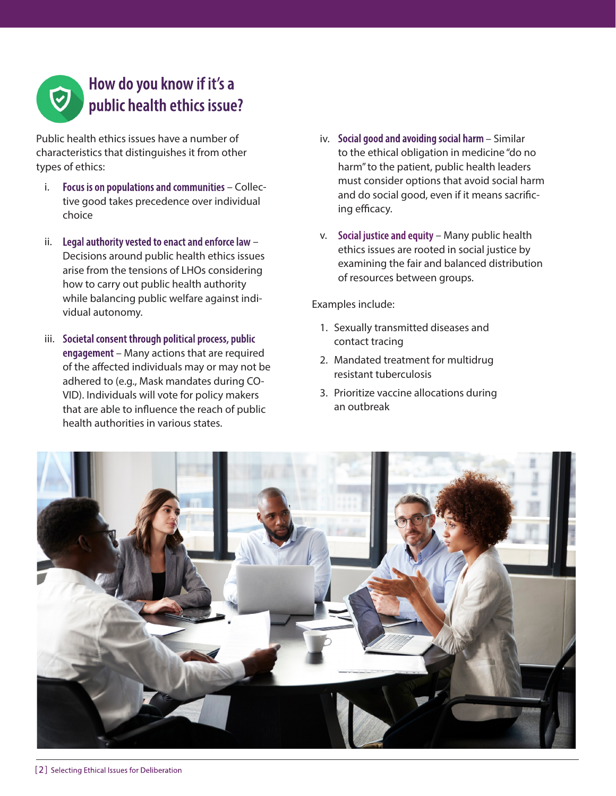

### **How do you know if it's a public health ethics issue?**

Public health ethics issues have a number of characteristics that distinguishes it from other types of ethics:

- i. **Focus is on populations and communities** Collective good takes precedence over individual choice
- ii. **Legal authority vested to enact and enforce law** Decisions around public health ethics issues arise from the tensions of LHOs considering how to carry out public health authority while balancing public welfare against individual autonomy.
- iii. **Societal consent through political process, public engagement** – Many actions that are required of the affected individuals may or may not be adhered to (e.g., Mask mandates during CO-VID). Individuals will vote for policy makers that are able to influence the reach of public health authorities in various states.
- iv. **Social good and avoiding social harm**  Similar to the ethical obligation in medicine "do no harm" to the patient, public health leaders must consider options that avoid social harm and do social good, even if it means sacrificing efficacy.
- v. **Social justice and equity** Many public health ethics issues are rooted in social justice by examining the fair and balanced distribution of resources between groups.

Examples include:

- 1. Sexually transmitted diseases and contact tracing
- 2. Mandated treatment for multidrug resistant tuberculosis
- 3. Prioritize vaccine allocations during an outbreak

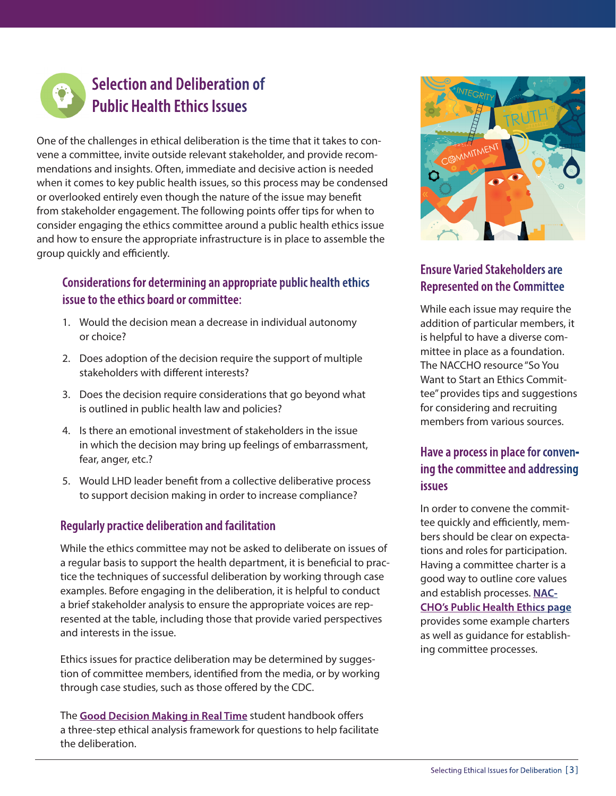

## **Selection and Deliberation of Public Health Ethics Issues**

One of the challenges in ethical deliberation is the time that it takes to convene a committee, invite outside relevant stakeholder, and provide recommendations and insights. Often, immediate and decisive action is needed when it comes to key public health issues, so this process may be condensed or overlooked entirely even though the nature of the issue may benefit from stakeholder engagement. The following points offer tips for when to consider engaging the ethics committee around a public health ethics issue and how to ensure the appropriate infrastructure is in place to assemble the group quickly and efficiently.

#### **Considerations for determining an appropriate public health ethics issue to the ethics board or committee:**

- 1. Would the decision mean a decrease in individual autonomy or choice?
- 2. Does adoption of the decision require the support of multiple stakeholders with different interests?
- 3. Does the decision require considerations that go beyond what is outlined in public health law and policies?
- 4. Is there an emotional investment of stakeholders in the issue in which the decision may bring up feelings of embarrassment, fear, anger, etc.?
- 5. Would LHD leader benefit from a collective deliberative process to support decision making in order to increase compliance?

#### **Regularly practice deliberation and facilitation**

While the ethics committee may not be asked to deliberate on issues of a regular basis to support the health department, it is beneficial to practice the techniques of successful deliberation by working through case examples. Before engaging in the deliberation, it is helpful to conduct a brief stakeholder analysis to ensure the appropriate voices are represented at the table, including those that provide varied perspectives and interests in the issue.

Ethics issues for practice deliberation may be determined by suggestion of committee members, identified from the media, or by working through case studies, such as those offered by the CDC.

The **[Good Decision Making in Real Time](https://www.cdc.gov/os/integrity/phethics/docs/Student_Manual_Revision_June_3_2019_508_compliant_Final_with_cover.pdf)** student handbook offers a three-step ethical analysis framework for questions to help facilitate the deliberation.



#### **Ensure Varied Stakeholders are Represented on the Committee**

While each issue may require the addition of particular members, it is helpful to have a diverse committee in place as a foundation. The NACCHO resource "So You Want to Start an Ethics Committee" provides tips and suggestions for considering and recruiting members from various sources.

#### **Have a process in place for convening the committee and addressing issues**

In order to convene the committee quickly and efficiently, members should be clear on expectations and roles for participation. Having a committee charter is a good way to outline core values and establish processes. **[NAC-](https://www.naccho.org/programs/public-health-infrastructure/ethics)[CHO's Public Health Ethics page](https://www.naccho.org/programs/public-health-infrastructure/ethics)** provides some example charters as well as guidance for establishing committee processes.